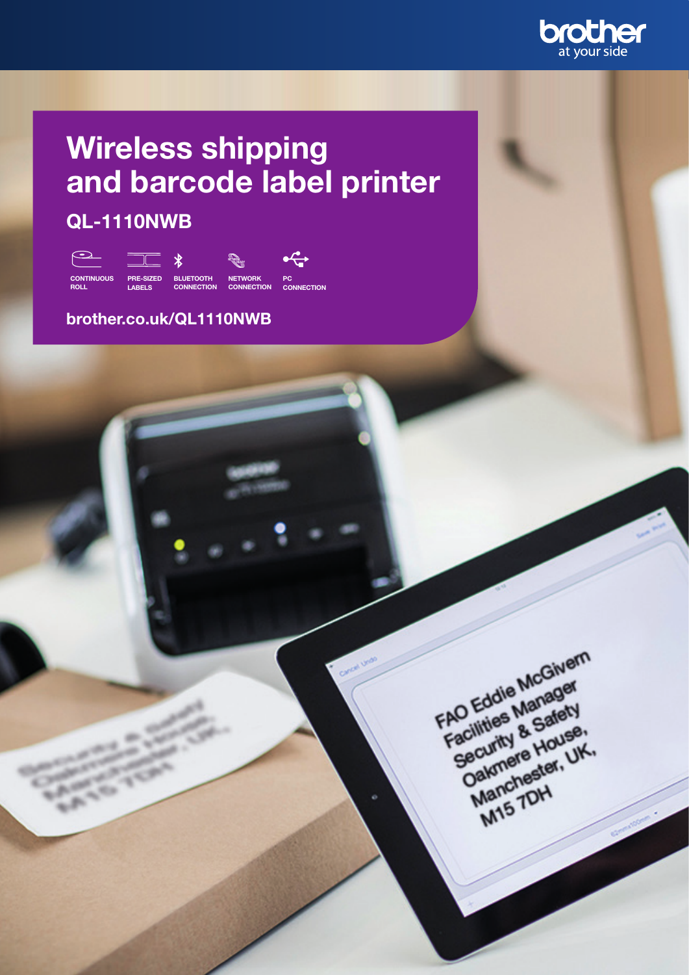

# Wireless shipping and barcode label printer

### QL-1110NWB



### brother.co.uk/QL1110NWB

FAO Eddie McGivern FAO Eddie Manager<br>Facilities Manager<br>Facilities Manager<br>Facilities & Safety AO Eddie Manager<br>Facilities Manager<br>Security & Safety<br>Security & House O Littles Me Safety<br>Becurity & House,<br>Security & House,<br>Oakmere House, Decurity & House, Manchester<br>Manchester<br>M15 7DH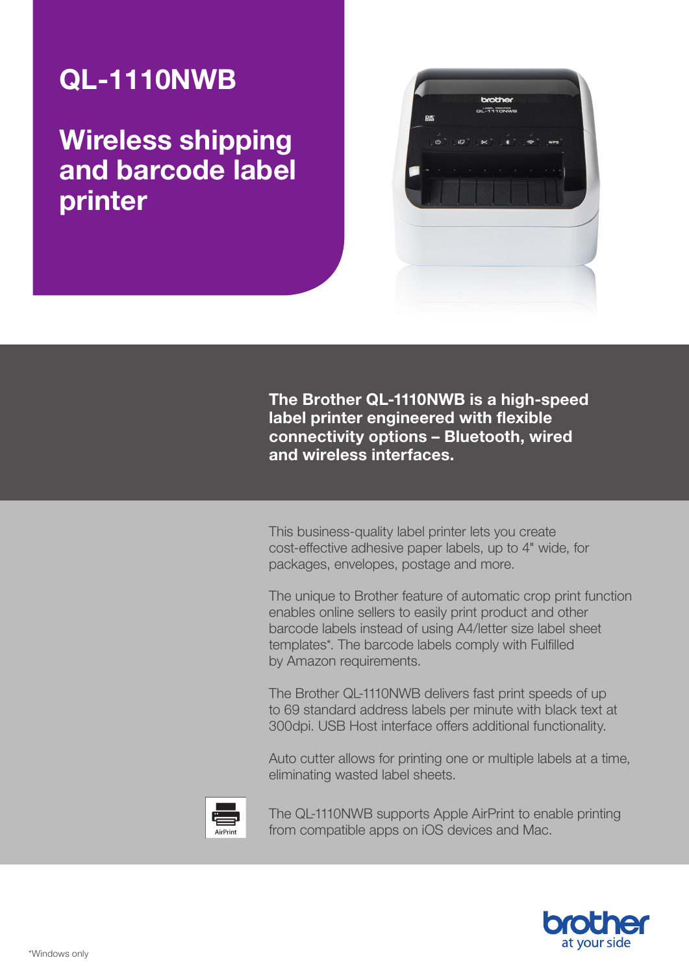## QL-1110NWB

Wireless shipping and barcode label printer



The Brother QL-1110NWB is a high-speed label printer engineered with flexible connectivity options – Bluetooth, wired and wireless interfaces.

This business-quality label printer lets you create cost-effective adhesive paper labels, up to 4" wide, for packages, envelopes, postage and more.

The unique to Brother feature of automatic crop print function enables online sellers to easily print product and other barcode labels instead of using A4/letter size label sheet templates\*. The barcode labels comply with Fulfilled by Amazon requirements.

The Brother QL-1110NWB delivers fast print speeds of up to 69 standard address labels per minute with black text at 300dpi. USB Host interface offers additional functionality.

Auto cutter allows for printing one or multiple labels at a time, eliminating wasted label sheets.



The QL-1110NWB supports Apple AirPrint to enable printing from compatible apps on iOS devices and Mac.

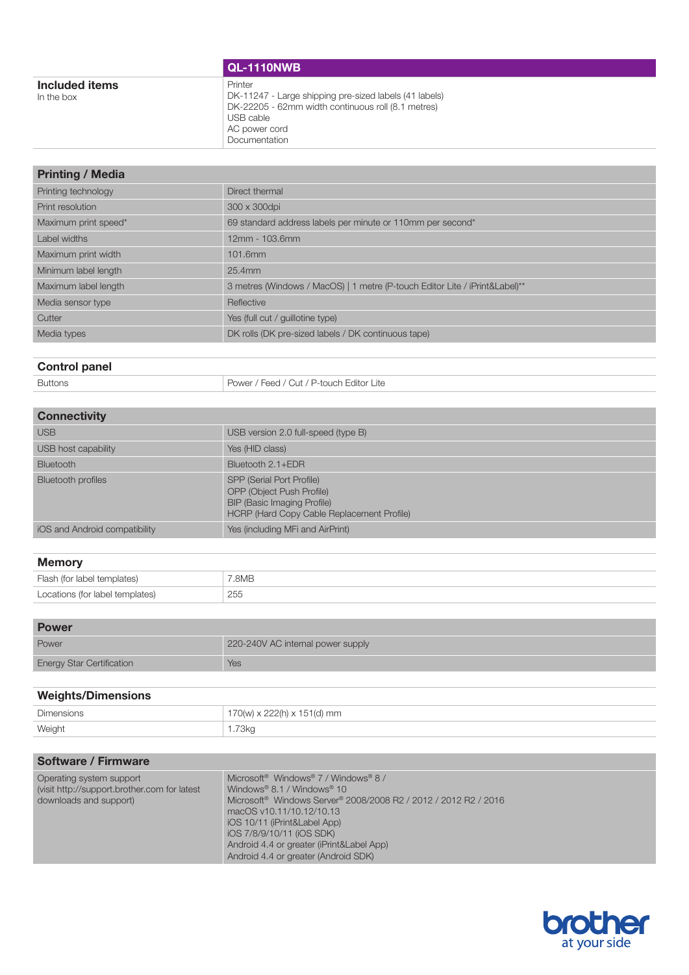| Printer<br>Included items<br>DK-11247 - Large shipping pre-sized labels (41 labels)<br>In the box<br>DK-22205 - 62mm width continuous roll (8.1 metres)<br>USB cable<br>AC power cord<br>Documentation | <b>QL-1110NWB</b> |
|--------------------------------------------------------------------------------------------------------------------------------------------------------------------------------------------------------|-------------------|
|                                                                                                                                                                                                        |                   |

| <b>Printing / Media</b> |                                                                             |
|-------------------------|-----------------------------------------------------------------------------|
| Printing technology     | Direct thermal                                                              |
| Print resolution        | 300 x 300dpi                                                                |
| Maximum print speed*    | 69 standard address labels per minute or 110mm per second*                  |
| Label widths            | 12mm - 103.6mm                                                              |
| Maximum print width     | 101.6mm                                                                     |
| Minimum label length    | $25.4$ mm                                                                   |
| Maximum label length    | 3 metres (Windows / MacOS)   1 metre (P-touch Editor Lite / iPrint&Label)** |
| Media sensor type       | Reflective                                                                  |
| Cutter                  | Yes (full cut / quillotine type)                                            |
| Media types             | DK rolls (DK pre-sized labels / DK continuous tape)                         |

### Control panel

Buttons Power / Feed / Cut / P-touch Editor Lite

| <b>Connectivity</b>           |                                                                                                                                                   |
|-------------------------------|---------------------------------------------------------------------------------------------------------------------------------------------------|
| <b>USB</b>                    | USB version 2.0 full-speed (type B)                                                                                                               |
| USB host capability           | Yes (HID class)                                                                                                                                   |
| <b>Bluetooth</b>              | Bluetooth 2.1+EDR                                                                                                                                 |
| <b>Bluetooth profiles</b>     | SPP (Serial Port Profile)<br><b>OPP (Object Push Profile)</b><br><b>BIP (Basic Imaging Profile)</b><br>HCRP (Hard Copy Cable Replacement Profile) |
| iOS and Android compatibility | Yes (including MFi and AirPrint)                                                                                                                  |

#### Memory

| Flash (for label templates)     | '.8MB |
|---------------------------------|-------|
| Locations (for label templates) | 255   |

| <b>Power</b>                     |                                   |
|----------------------------------|-----------------------------------|
| Power                            | 220-240V AC internal power supply |
| <b>Energy Star Certification</b> | Yes                               |

| <b>Weights/Dimensions</b> |                                         |
|---------------------------|-----------------------------------------|
| Dimensions                | $170(w) \times 222(h) \times 151(d)$ mm |
| Weight                    | 1.73kg                                  |

| <b>Software / Firmware</b>                                                                         |                                                                                                                                                                                                                                                                                                                                                                                             |
|----------------------------------------------------------------------------------------------------|---------------------------------------------------------------------------------------------------------------------------------------------------------------------------------------------------------------------------------------------------------------------------------------------------------------------------------------------------------------------------------------------|
| Operating system support<br>(visit http://support.brother.com for latest<br>downloads and support) | Microsoft <sup>®</sup> Windows <sup>®</sup> 7 / Windows® 8 /<br>Windows <sup>®</sup> 8.1 / Windows <sup>®</sup> 10<br>Microsoft <sup>®</sup> Windows Server <sup>®</sup> 2008/2008 R2 / 2012 / 2012 R2 / 2016<br>macOS v10.11/10.12/10.13<br>iOS 10/11 (iPrint&Label App)<br>iOS 7/8/9/10/11 (iOS SDK)<br>Android 4.4 or greater (iPrint&Label App)<br>Android 4.4 or greater (Android SDK) |